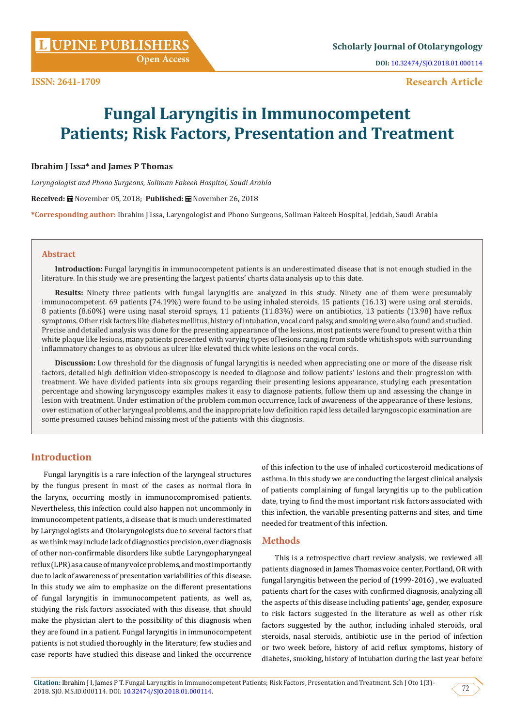**[UPINE PUBLISHERS](http://www.lupinepublishers.com/) L Scholarly Journal of Otolaryngology**

**Research Article**

# **Fungal Laryngitis in Immunocompetent Patients; Risk Factors, Presentation and Treatment**

## **Ibrahim J Issa\* and James P Thomas**

*Laryngologist and Phono Surgeons, Soliman Fakeeh Hospital, Saudi Arabia*

**Received:** November 05, 2018; **Published:** November 26, 2018

**\*Corresponding author:** Ibrahim J Issa, Laryngologist and Phono Surgeons, Soliman Fakeeh Hospital, Jeddah, Saudi Arabia

#### **Abstract**

**Introduction:** Fungal laryngitis in immunocompetent patients is an underestimated disease that is not enough studied in the literature. In this study we are presenting the largest patients' charts data analysis up to this date.

**Results:** Ninety three patients with fungal laryngitis are analyzed in this study. Ninety one of them were presumably immunocompetent. 69 patients (74.19%) were found to be using inhaled steroids, 15 patients (16.13) were using oral steroids, 8 patients (8.60%) were using nasal steroid sprays, 11 patients (11.83%) were on antibiotics, 13 patients (13.98) have reflux symptoms. Other risk factors like diabetes mellitus, history of intubation, vocal cord palsy, and smoking were also found and studied. Precise and detailed analysis was done for the presenting appearance of the lesions, most patients were found to present with a thin white plaque like lesions, many patients presented with varying types of lesions ranging from subtle whitish spots with surrounding inflammatory changes to as obvious as ulcer like elevated thick white lesions on the vocal cords.

**Discussion:** Low threshold for the diagnosis of fungal laryngitis is needed when appreciating one or more of the disease risk factors, detailed high definition video-stroposcopy is needed to diagnose and follow patients' lesions and their progression with treatment. We have divided patients into six groups regarding their presenting lesions appearance, studying each presentation percentage and showing laryngoscopy examples makes it easy to diagnose patients, follow them up and assessing the change in lesion with treatment. Under estimation of the problem common occurrence, lack of awareness of the appearance of these lesions, over estimation of other laryngeal problems, and the inappropriate low definition rapid less detailed laryngoscopic examination are some presumed causes behind missing most of the patients with this diagnosis.

# **Introduction**

Fungal laryngitis is a rare infection of the laryngeal structures by the fungus present in most of the cases as normal flora in the larynx, occurring mostly in immunocompromised patients. Nevertheless, this infection could also happen not uncommonly in immunocompetent patients, a disease that is much underestimated by Laryngologists and Otolaryngologists due to several factors that as we think may include lack of diagnostics precision, over diagnosis of other non-confirmable disorders like subtle Laryngopharyngeal reflux (LPR) as a cause of many voice problems, and most importantly due to lack of awareness of presentation variabilities of this disease. In this study we aim to emphasize on the different presentations of fungal laryngitis in immunocompetent patients, as well as, studying the risk factors associated with this disease, that should make the physician alert to the possibility of this diagnosis when they are found in a patient. Fungal laryngitis in immunocompetent patients is not studied thoroughly in the literature, few studies and case reports have studied this disease and linked the occurrence of this infection to the use of inhaled corticosteroid medications of asthma. In this study we are conducting the largest clinical analysis of patients complaining of fungal laryngitis up to the publication date, trying to find the most important risk factors associated with this infection, the variable presenting patterns and sites, and time needed for treatment of this infection.

# **Methods**

This is a retrospective chart review analysis, we reviewed all patients diagnosed in James Thomas voice center, Portland, OR with fungal laryngitis between the period of (1999-2016) , we evaluated patients chart for the cases with confirmed diagnosis, analyzing all the aspects of this disease including patients' age, gender, exposure to risk factors suggested in the literature as well as other risk factors suggested by the author, including inhaled steroids, oral steroids, nasal steroids, antibiotic use in the period of infection or two week before, history of acid reflux symptoms, history of diabetes, smoking, history of intubation during the last year before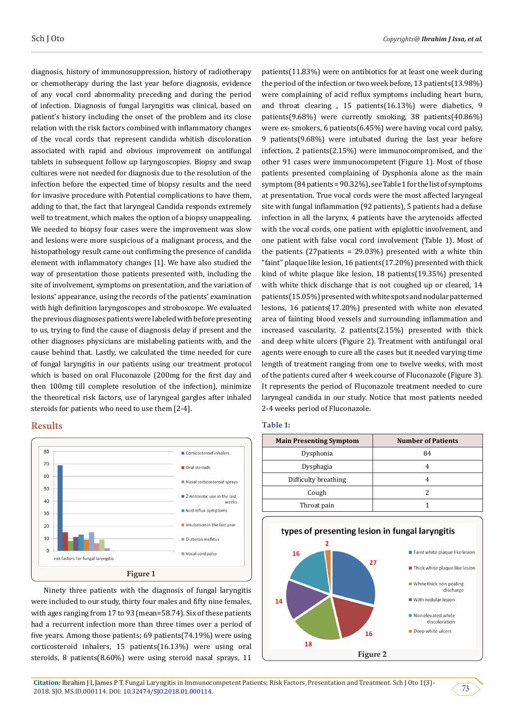diagnosis, history of immunosuppression, history of radiotherapy or chemotherapy during the last year before diagnosis, evidence of any vocal cord abnormality preceding and during the period of infection. Diagnosis of fungal laryngitis was clinical, based on patient's history including the onset of the problem and its close relation with the risk factors combined with inflammatory changes of the vocal cords that represent candida whitish discoloration associated with rapid and obvious improvement on antifungal tablets in subsequent follow up laryngoscopies. Biopsy and swap cultures were not needed for diagnosis due to the resolution of the infection before the expected time of biopsy results and the need for invasive procedure with Potential complications to have them, adding to that, the fact that laryngeal Candida responds extremely well to treatment, which makes the option of a biopsy unappealing. We needed to biopsy four cases were the improvement was slow and lesions were more suspicious of a malignant process, and the histopathology result came out confirming the presence of candida element with inflammatory changes [1]. We have also studied the way of presentation those patients presented with, including the site of involvement, symptoms on presentation, and the variation of lesions' appearance, using the records of the patients' examination with high definition laryngoscopes and stroboscope. We evaluated the previous diagnoses patients were labeled with before presenting to us, trying to find the cause of diagnosis delay if present and the other diagnoses physicians are mislabeling patients with, and the cause behind that. Lastly, we calculated the time needed for cure of fungal laryngitis in our patients using our treatment protocol which is based on oral Fluconazole (200mg for the first day and then 100mg till complete resolution of the infection), minimize the theoretical risk factors, use of laryngeal gargles after inhaled steroids for patients who need to use them [2-4].

#### **Results**



Ninety three patients with the diagnosis of fungal laryngitis were included to our study, thirty four males and fifty nine females, with ages ranging from 17 to 93 (mean=58.74). Six of these patients had a recurrent infection more than three times over a period of five years. Among those patients; 69 patients(74.19%) were using corticosteroid inhalers, 15 patients(16.13%) were using oral steroids, 8 patients(8.60%) were using steroid nasal sprays, 11

patients(11.83%) were on antibiotics for at least one week during the period of the infection or two week before, 13 patients(13.98%) were complaining of acid reflux symptoms including heart burn, and throat clearing , 15 patients(16.13%) were diabetics, 9 patients(9.68%) were currently smoking, 38 patients(40.86%) were ex- smokers, 6 patients(6.45%) were having vocal cord palsy, 9 patients(9.68%) were intubated during the last year before infection, 2 patients(2.15%) were immunocompromised, and the other 91 cases were immunocompetent (Figure 1). Most of those patients presented complaining of Dysphonia alone as the main symptom (84 patients = 90.32%), see Table 1 for the list of symptoms at presentation. True vocal cords were the most affected laryngeal site with fungal inflammation (92 patients), 5 patients had a defuse infection in all the larynx, 4 patients have the arytenoids affected with the vocal cords, one patient with epiglottic involvement, and one patient with false vocal cord involvement (Table 1). Most of the patients (27 patients =  $29.03\%$ ) presented with a white thin "faint" plaque like lesion, 16 patients(17.20%) presented with thick kind of white plaque like lesion, 18 patients(19.35%) presented with white thick discharge that is not coughed up or cleared, 14 patients(15.05%) presented with white spots and nodular patterned lesions, 16 patients(17.20%) presented with white non elevated area of fainting blood vessels and surrounding inflammation and increased vascularity, 2 patients(2.15%) presented with thick and deep white ulcers (Figure 2). Treatment with antifungal oral agents were enough to cure all the cases but it needed varying time length of treatment ranging from one to twelve weeks, with most of the patients cured after 4 week course of Fluconazole (Figure 3). It represents the period of Fluconazole treatment needed to cure laryngeal candida in our study. Notice that most patients needed 2-4 weeks period of Fluconazole.

#### **Table 1:**

| <b>Main Presenting Symptom</b> | <b>Number of Patients</b> |
|--------------------------------|---------------------------|
| Dysphonia                      | 84                        |
| Dysphagia                      |                           |
| Difficulty breathing           |                           |
| Cough                          |                           |
| Throat pain                    |                           |



**Citation:** Ibrahim J I, James P T. Fungal Laryngitis in Immunocompetent Patients; Risk Factors, Presentation and Treatment. Sch J Oto 1(3)- 2018. SIO. MS.ID.000114. DOI: 10.32474/SIO.2018.01.000114.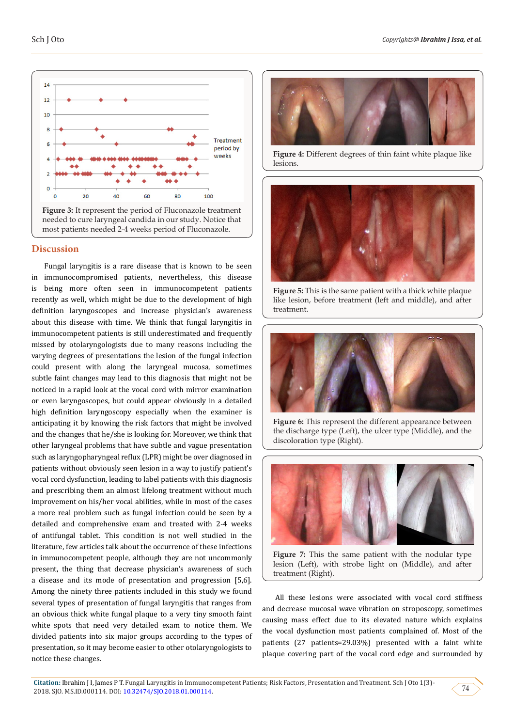

## **Discussion**

Fungal laryngitis is a rare disease that is known to be seen in immunocompromised patients, nevertheless, this disease is being more often seen in immunocompetent patients recently as well, which might be due to the development of high definition laryngoscopes and increase physician's awareness about this disease with time. We think that fungal laryngitis in immunocompetent patients is still underestimated and frequently missed by otolaryngologists due to many reasons including the varying degrees of presentations the lesion of the fungal infection could present with along the laryngeal mucosa, sometimes subtle faint changes may lead to this diagnosis that might not be noticed in a rapid look at the vocal cord with mirror examination or even laryngoscopes, but could appear obviously in a detailed high definition laryngoscopy especially when the examiner is anticipating it by knowing the risk factors that might be involved and the changes that he/she is looking for. Moreover, we think that other laryngeal problems that have subtle and vague presentation such as laryngopharyngeal reflux (LPR) might be over diagnosed in patients without obviously seen lesion in a way to justify patient's vocal cord dysfunction, leading to label patients with this diagnosis and prescribing them an almost lifelong treatment without much improvement on his/her vocal abilities, while in most of the cases a more real problem such as fungal infection could be seen by a detailed and comprehensive exam and treated with 2-4 weeks of antifungal tablet. This condition is not well studied in the literature, few articles talk about the occurrence of these infections in immunocompetent people, although they are not uncommonly present, the thing that decrease physician's awareness of such a disease and its mode of presentation and progression [5,6]. Among the ninety three patients included in this study we found several types of presentation of fungal laryngitis that ranges from an obvious thick white fungal plaque to a very tiny smooth faint white spots that need very detailed exam to notice them. We divided patients into six major groups according to the types of presentation, so it may become easier to other otolaryngologists to notice these changes.



Figure 4: Different degrees of thin faint white plaque like lesions.



**Figure 5:** This is the same patient with a thick white plaque like lesion, before treatment (left and middle), and after treatment.



Figure 6: This represent the different appearance between the discharge type (Left), the ulcer type (Middle), and the discoloration type (Right).



**Figure 7:** This the same patient with the nodular type lesion (Left), with strobe light on (Middle), and after treatment (Right).

All these lesions were associated with vocal cord stiffness and decrease mucosal wave vibration on stroposcopy, sometimes causing mass effect due to its elevated nature which explains the vocal dysfunction most patients complained of. Most of the patients (27 patients=29.03%) presented with a faint white plaque covering part of the vocal cord edge and surrounded by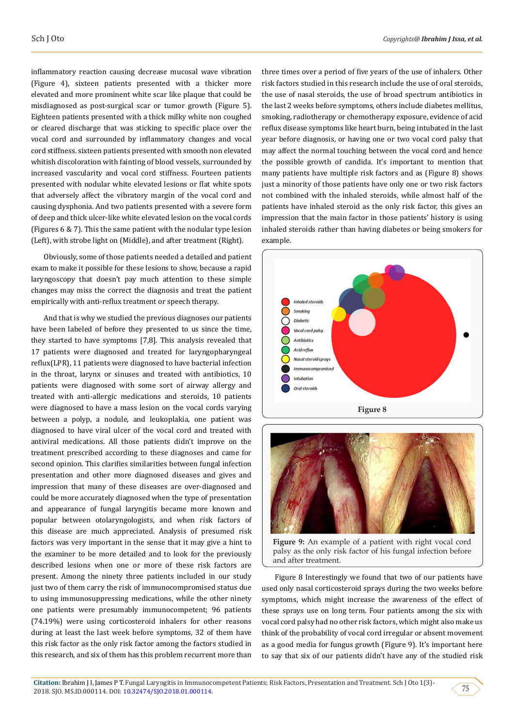inflammatory reaction causing decrease mucosal wave vibration (Figure 4), sixteen patients presented with a thicker more elevated and more prominent white scar like plaque that could be misdiagnosed as post-surgical scar or tumor growth (Figure 5). Eighteen patients presented with a thick milky white non coughed or cleared discharge that was sticking to specific place over the vocal cord and surrounded by inflammatory changes and vocal cord stiffness. sixteen patients presented with smooth non elevated whitish discoloration with fainting of blood vessels, surrounded by increased vascularity and vocal cord stiffness. Fourteen patients presented with nodular white elevated lesions or flat white spots that adversely affect the vibratory margin of the vocal cord and causing dysphonia. And two patients presented with a severe form of deep and thick ulcer-like white elevated lesion on the vocal cords (Figures 6 & 7). This the same patient with the nodular type lesion (Left), with strobe light on (Middle), and after treatment (Right).

Obviously, some of those patients needed a detailed and patient exam to make it possible for these lesions to show, because a rapid laryngoscopy that doesn't pay much attention to these simple changes may miss the correct the diagnosis and treat the patient empirically with anti-reflux treatment or speech therapy.

And that is why we studied the previous diagnoses our patients have been labeled of before they presented to us since the time, they started to have symptoms [7,8]. This analysis revealed that 17 patients were diagnosed and treated for laryngopharyngeal reflux(LPR), 11 patients were diagnosed to have bacterial infection in the throat, larynx or sinuses and treated with antibiotics, 10 patients were diagnosed with some sort of airway allergy and treated with anti-allergic medications and steroids, 10 patients were diagnosed to have a mass lesion on the vocal cords varying between a polyp, a nodule, and leukoplakia, one patient was diagnosed to have viral ulcer of the vocal cord and treated with antiviral medications. All those patients didn't improve on the treatment prescribed according to these diagnoses and came for second opinion. This clarifies similarities between fungal infection presentation and other more diagnosed diseases and gives and impression that many of these diseases are over-diagnosed and could be more accurately diagnosed when the type of presentation and appearance of fungal laryngitis became more known and popular between otolaryngologists, and when risk factors of this disease are much appreciated. Analysis of presumed risk factors was very important in the sense that it may give a hint to the examiner to be more detailed and to look for the previously described lesions when one or more of these risk factors are present. Among the ninety three patients included in our study just two of them carry the risk of immunocompromised status due to using immunosuppressing medications, while the other ninety one patients were presumably immunocompetent; 96 patients (74.19%) were using corticosteroid inhalers for other reasons during at least the last week before symptoms, 32 of them have this risk factor as the only risk factor among the factors studied in this research, and six of them has this problem recurrent more than

three times over a period of five years of the use of inhalers. Other risk factors studied in this research include the use of oral steroids, the use of nasal steroids, the use of broad spectrum antibiotics in the last 2 weeks before symptoms, others include diabetes mellitus, smoking, radiotherapy or chemotherapy exposure, evidence of acid reflux disease symptoms like heart burn, being intubated in the last year before diagnosis, or having one or two vocal cord palsy that may affect the normal touching between the vocal cord and hence the possible growth of candida. It's important to mention that many patients have multiple risk factors and as (Figure 8) shows just a minority of those patients have only one or two risk factors not combined with the inhaled steroids, while almost half of the patients have inhaled steroid as the only risk factor, this gives an impression that the main factor in those patients' history is using inhaled steroids rather than having diabetes or being smokers for example.





**Figure 9:** An example of a patient with right vocal cord palsy as the only risk factor of his fungal infection before and after treatment.

Figure 8 Interestingly we found that two of our patients have used only nasal corticosteroid sprays during the two weeks before symptoms, which might increase the awareness of the effect of these sprays use on long term. Four patients among the six with vocal cord palsy had no other risk factors, which might also make us think of the probability of vocal cord irregular or absent movement as a good media for fungus growth (Figure 9). It's important here to say that six of our patients didn't have any of the studied risk